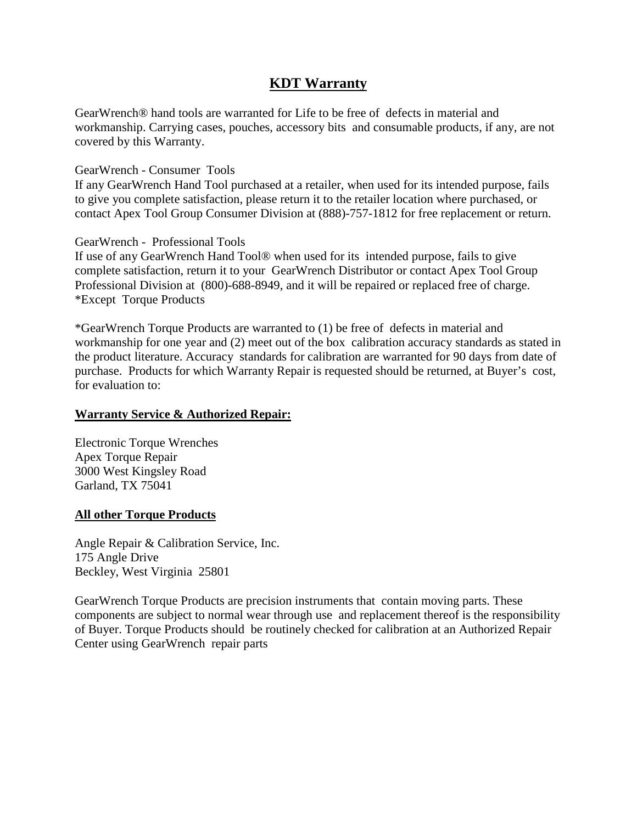### **KDT Warranty**

GearWrench® hand tools are warranted for Life to be free of defects in material and workmanship. Carrying cases, pouches, accessory bits and consumable products, if any, are not covered by this Warranty.

#### GearWrench - Consumer Tools

If any GearWrench Hand Tool purchased at a retailer, when used for its intended purpose, fails to give you complete satisfaction, please return it to the retailer location where purchased, or contact Apex Tool Group Consumer Division at (888)-757-1812 for free replacement or return.

#### GearWrench - Professional Tools

If use of any GearWrench Hand Tool® when used for its intended purpose, fails to give complete satisfaction, return it to your GearWrench Distributor or contact Apex Tool Group Professional Division at (800)-688-8949, and it will be repaired or replaced free of charge. \*Except Torque Products

\*GearWrench Torque Products are warranted to (1) be free of defects in material and workmanship for one year and (2) meet out of the box calibration accuracy standards as stated in the product literature. Accuracy standards for calibration are warranted for 90 days from date of purchase. Products for which Warranty Repair is requested should be returned, at Buyer's cost, for evaluation to:

### **Warranty Service & Authorized Repair:**

Electronic Torque Wrenches Apex Torque Repair 3000 West Kingsley Road Garland, TX 75041

#### **All other Torque Products**

Angle Repair & Calibration Service, Inc. 175 Angle Drive Beckley, West Virginia 25801

GearWrench Torque Products are precision instruments that contain moving parts. These components are subject to normal wear through use and replacement thereof is the responsibility of Buyer. Torque Products should be routinely checked for calibration at an Authorized Repair Center using GearWrench repair parts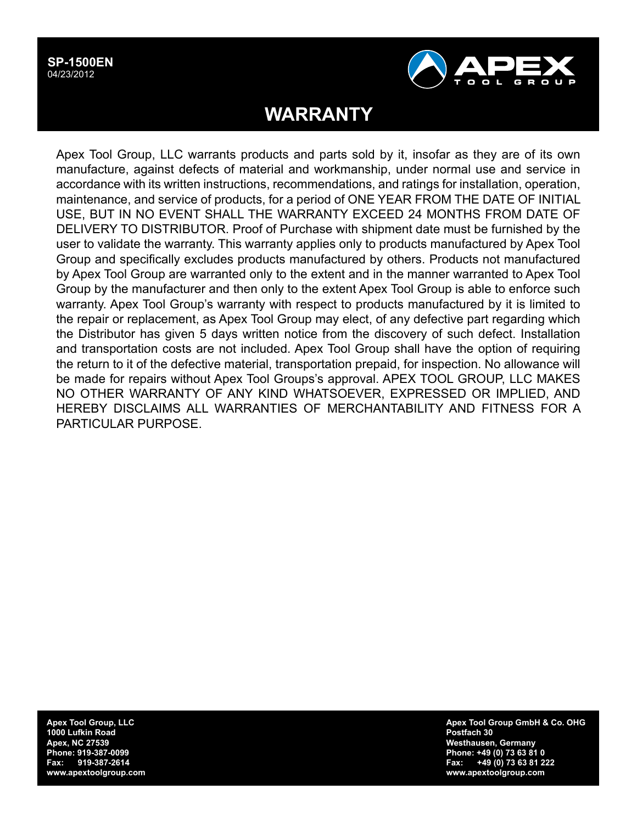#### **SP-1500EN** 04/23/2012



# **WARRANTY**

Apex Tool Group, LLC warrants products and parts sold by it, insofar as they are of its own manufacture, against defects of material and workmanship, under normal use and service in accordance with its written instructions, recommendations, and ratings for installation, operation, maintenance, and service of products, for a period of ONE YEAR FROM THE DATE OF INITIAL USE, BUT IN NO EVENT SHALL THE WARRANTY EXCEED 24 MONTHS FROM DATE OF DELIVERY TO DISTRIBUTOR. Proof of Purchase with shipment date must be furnished by the user to validate the warranty. This warranty applies only to products manufactured by Apex Tool Group and specifically excludes products manufactured by others. Products not manufactured by Apex Tool Group are warranted only to the extent and in the manner warranted to Apex Tool Group by the manufacturer and then only to the extent Apex Tool Group is able to enforce such warranty. Apex Tool Group's warranty with respect to products manufactured by it is limited to the repair or replacement, as Apex Tool Group may elect, of any defective part regarding which the Distributor has given 5 days written notice from the discovery of such defect. Installation and transportation costs are not included. Apex Tool Group shall have the option of requiring the return to it of the defective material, transportation prepaid, for inspection. No allowance will be made for repairs without Apex Tool Groups's approval. APEX TOOL GROUP, LLC MAKES NO OTHER WARRANTY OF ANY KIND WHATSOEVER, EXPRESSED OR IMPLIED, AND HEREBY DISCLAIMS ALL WARRANTIES OF MERCHANTABILITY AND FITNESS FOR A PARTICULAR PURPOSE.

**Apex Tool Group, LLC 1000 Lufkin Road Apex, NC 27539 Phone: 919-387-0099 Fax: 919-387-2614 www.apextoolgroup.com** **Apex Tool Group GmbH & Co. OHG Postfach 30 Westhausen, Germany Phone: +49 (0) 73 63 81 0 Fax: +49 (0) 73 63 81 222 www.apextoolgroup.com**